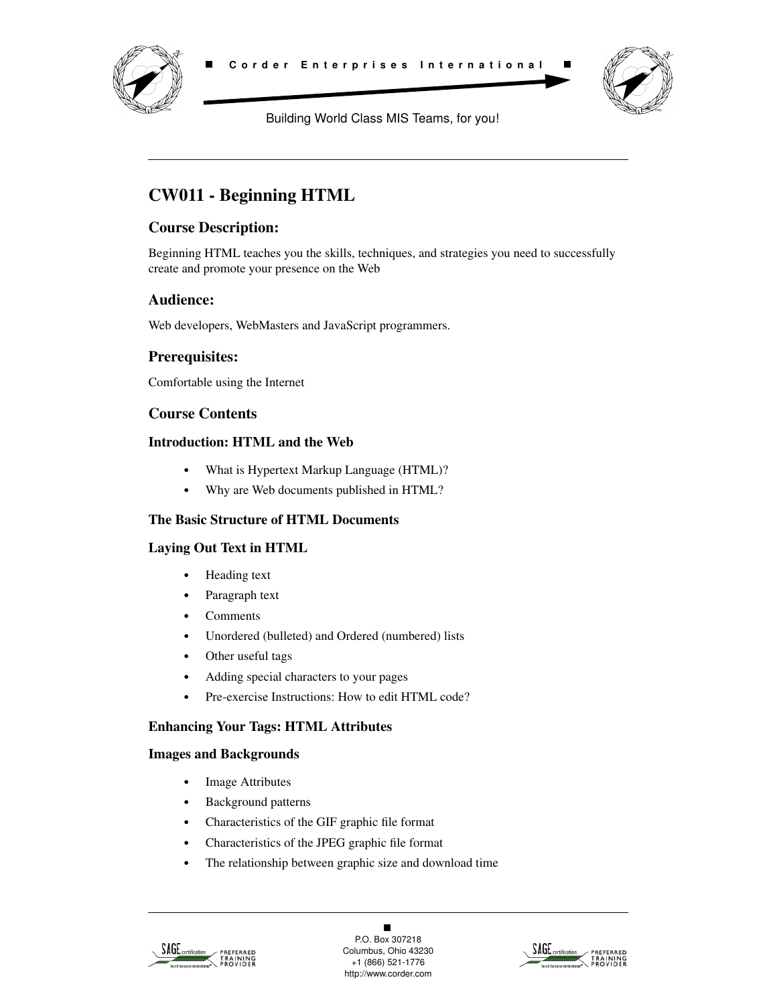



Building World Class MIS Teams, for you!

# **CW011 - Beginning HTML**

## **Course Description:**

Beginning HTML teaches you the skills, techniques, and strategies you need to successfully create and promote your presence on the Web

## **Audience:**

Web developers, WebMasters and JavaScript programmers.

## **Prerequisites:**

Comfortable using the Internet

## **Course Contents**

#### **Introduction: HTML and the Web**

- **•** What is Hypertext Markup Language (HTML)?
- **•** Why are Web documents published in HTML?

#### **The Basic Structure of HTML Documents**

#### **Laying Out Text in HTML**

- **•** Heading text
- **•** Paragraph text
- **•** Comments
- **•** Unordered (bulleted) and Ordered (numbered) lists
- **•** Other useful tags
- **•** Adding special characters to your pages
- **•** Pre-exercise Instructions: How to edit HTML code?

#### **Enhancing Your Tags: HTML Attributes**

### **Images and Backgrounds**

- **•** Image Attributes
- **•** Background patterns
- **•** Characteristics of the GIF graphic file format
- **•** Characteristics of the JPEG graphic file format
- **•** The relationship between graphic size and download time



 $\blacksquare$ P.O. Box 307218 Columbus, Ohio 43230 +1 (866) 521-1776 http://www.corder.com